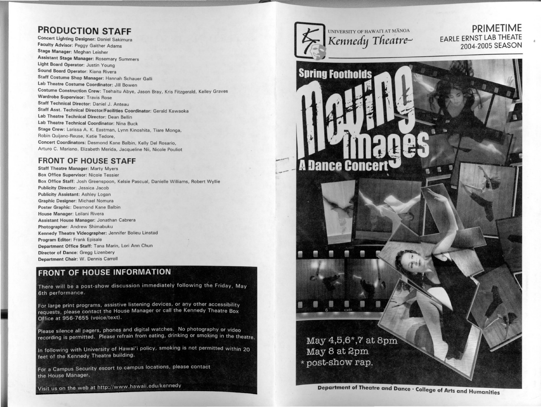#### PRODUCTION STAFF

Concert Lighting Designer: Daniel Sakimura Faculty Advisor: Peggy Gaither Adams Stage Manager: Meghan Leisher Assistant Stage Manager: Rosemary Summers Light Board Operator: Justin Young Sound Board Operator: Kiana Rivera Staff Costume Shop Manager: Hannah Schauer Galli Lab Theatre Costume Coordinator: Jill Bowen Costume Construction Crew: Tsehaitu Abye, Jason Bray, Kris Fitzgerald, Kelley Graves Wardrobe Supervisor: Travis Rose Staff Technical Director: Daniel J. Anteau Staff Asst. Technical Director/Facilities Coordinator: Gerald Kawaoka Lab Theatre Technical Director: Dean Bellin Lab Theatre Technical Coordinator: Nina Buck Stage Crew: Larissa A. K. Eastman, Lynn Kinoshita, Tiare Monga, Robin Ouijano-Reuse, Katie Tedore, Concert Coordinators: Desmond Kane Balbin, Kelly Del Rosario, Arturo C. Mariano, Elizabeth Merida, Jacqueline Nii, Nicole Pouliot

#### FRONT OF HOUSE STAFF

Staff Theatre Manager: Marty Myers Box Office Supervisor: Nicole Tessier Box Office Staff: Josh Greenspoon. Kelsie Pascual, Danielle Williams, Robert Wyllie Publicity Director: Jessica Jacob Publicity Assistant: Ashley Logan Graphic Designer: Michael Nomura Poster Graphic: Desmond Kane Balbin House Manager: Leilani Rivera Assistant House Manager: Jonathan Cabrera Photographer: Andrew Shimabuku Kennedy Theatre Videographer: Jennifer Bolieu Linstad Program Editor: Frank Episale Department Office Staff: Tana Marin, Lori Ann Chun Director of Dance: Gregg Lizenbery Department Chair: W. Dennis Carroll

#### FRONT OF HOUSE INFORMATION

There will be a post-show discussion immediately following the Friday, May 6th performance.

For large print programs, assistive listening devices, or any other accessibility requests, please contact the House Manager or call the Kennedy Theatre Box Office at 956-7655 (voice/text).

Please silence all pagers, phones and digital watches. No photography or video recording is permitted. Please refrain from eating, drinking or smoking in the theatre.

In following with University of Hawai'i policy, smoking is not permitted within 20 feet of the Kennedy Theatre building.

For a Campus Security escort to campus locations, please contact the House Manager.

Visit us on the web at http://www.hawaii.edu/kennedy



 $-$ 

UNIVERSITY OF HAWAIT AT MANOA

PRIMETIME EARLE ERNST LAB THEATE 2004-2005 SEASON



Department of Theatre and Dance · College of Arts and Humanities